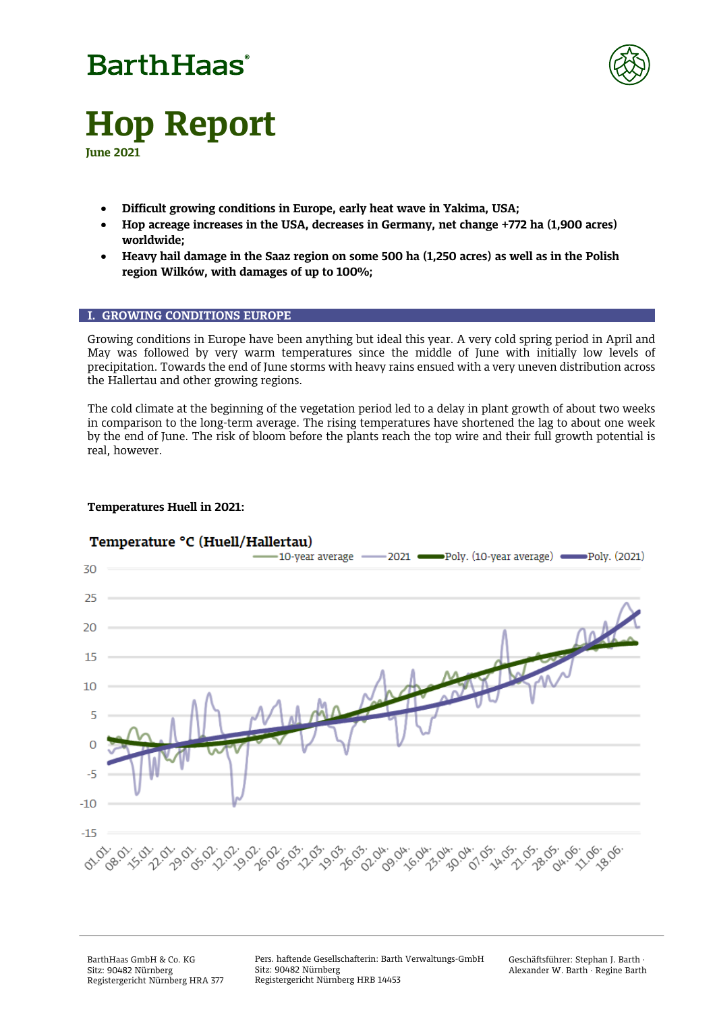# **BarthHaas**®



# **Hop Report**

**June 2021**

- **Difficult growing conditions in Europe, early heat wave in Yakima, USA;**
- **Hop acreage increases in the USA, decreases in Germany, net change +772 ha (1,900 acres) worldwide;**
- **Heavy hail damage in the Saaz region on some 500 ha (1,250 acres) as well as in the Polish region Wilków, with damages of up to 100%;**

#### **I. GROWING CONDITIONS EUROPE**

Growing conditions in Europe have been anything but ideal this year. A very cold spring period in April and May was followed by very warm temperatures since the middle of June with initially low levels of precipitation. Towards the end of June storms with heavy rains ensued with a very uneven distribution across the Hallertau and other growing regions.

The cold climate at the beginning of the vegetation period led to a delay in plant growth of about two weeks in comparison to the long-term average. The rising temperatures have shortened the lag to about one week by the end of June. The risk of bloom before the plants reach the top wire and their full growth potential is real, however.

### **Temperatures Huell in 2021:**



### Temperature °C (Huell/Hallertau)

BarthHaas GmbH & Co. KG Sitz: 90482 Nürnberg Registergericht Nürnberg HRA 377 Pers. haftende Gesellschafterin: Barth Verwaltungs-GmbH Sitz: 90482 Nürnberg Registergericht Nürnberg HRB 14453

Geschäftsführer: Stephan J. Barth · Alexander W. Barth · Regine Barth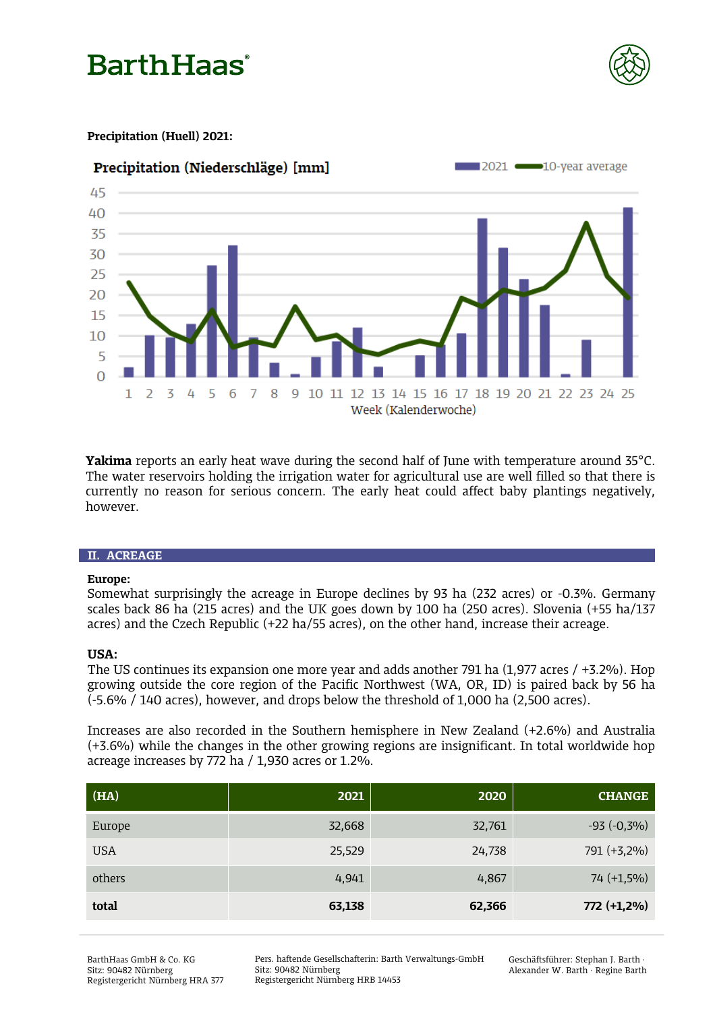## **Barth Haas**



### **Precipitation (Huell) 2021:**



**Yakima** reports an early heat wave during the second half of June with temperature around 35°C. The water reservoirs holding the irrigation water for agricultural use are well filled so that there is currently no reason for serious concern. The early heat could affect baby plantings negatively, however.

#### **II. ACREAGE**

#### **Europe:**

Somewhat surprisingly the acreage in Europe declines by 93 ha (232 acres) or -0.3%. Germany scales back 86 ha (215 acres) and the UK goes down by 100 ha (250 acres). Slovenia (+55 ha/137 acres) and the Czech Republic (+22 ha/55 acres), on the other hand, increase their acreage.

### **USA:**

The US continues its expansion one more year and adds another 791 ha (1,977 acres / +3.2%). Hop growing outside the core region of the Pacific Northwest (WA, OR, ID) is paired back by 56 ha (-5.6% / 140 acres), however, and drops below the threshold of 1,000 ha (2,500 acres).

Increases are also recorded in the Southern hemisphere in New Zealand (+2.6%) and Australia (+3.6%) while the changes in the other growing regions are insignificant. In total worldwide hop acreage increases by 772 ha / 1,930 acres or 1.2%.

| (HA)       | 2021   | 2020   | <b>CHANGE</b>  |
|------------|--------|--------|----------------|
| Europe     | 32,668 | 32,761 | $-93 (-0,3\%)$ |
| <b>USA</b> | 25,529 | 24,738 | 791 (+3,2%)    |
| others     | 4,941  | 4,867  | $74 (+1,5%)$   |
| total      | 63,138 | 62,366 | 772 (+1,2%)    |

Pers. haftende Gesellschafterin: Barth Verwaltungs-GmbH Sitz: 90482 Nürnberg Registergericht Nürnberg HRB 14453

Geschäftsführer: Stephan J. Barth · Alexander W. Barth · Regine Barth